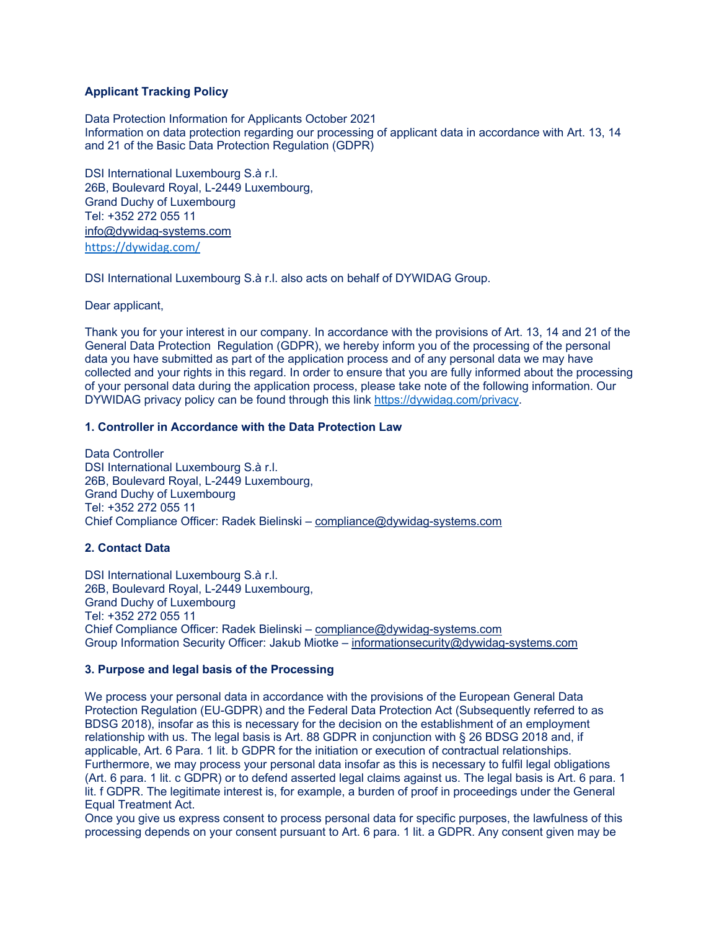### **Applicant Tracking Policy**

Data Protection Information for Applicants October 2021 Information on data protection regarding our processing of applicant data in accordance with Art. 13, 14 and 21 of the Basic Data Protection Regulation (GDPR)

DSI International Luxembourg S.à r.l. 26B, Boulevard Royal, L-2449 Luxembourg, Grand Duchy of Luxembourg Tel: +352 272 055 11 info@dywidag-systems.com https://dywidag.com/

DSI International Luxembourg S.à r.l. also acts on behalf of DYWIDAG Group.

Dear applicant,

Thank you for your interest in our company. In accordance with the provisions of Art. 13, 14 and 21 of the General Data Protection Regulation (GDPR), we hereby inform you of the processing of the personal data you have submitted as part of the application process and of any personal data we may have collected and your rights in this regard. In order to ensure that you are fully informed about the processing of your personal data during the application process, please take note of the following information. Our DYWIDAG privacy policy can be found through this link https://dywidag.com/privacy.

## **1. Controller in Accordance with the Data Protection Law**

Data Controller DSI International Luxembourg S.à r.l. 26B, Boulevard Royal, L-2449 Luxembourg, Grand Duchy of Luxembourg Tel: +352 272 055 11 Chief Compliance Officer: Radek Bielinski – compliance@dywidag-systems.com

### **2. Contact Data**

DSI International Luxembourg S.à r.l. 26B, Boulevard Royal, L-2449 Luxembourg, Grand Duchy of Luxembourg Tel: +352 272 055 11 Chief Compliance Officer: Radek Bielinski – compliance@dywidag-systems.com Group Information Security Officer: Jakub Miotke – informationsecurity@dywidag-systems.com

### **3. Purpose and legal basis of the Processing**

We process your personal data in accordance with the provisions of the European General Data Protection Regulation (EU-GDPR) and the Federal Data Protection Act (Subsequently referred to as BDSG 2018), insofar as this is necessary for the decision on the establishment of an employment relationship with us. The legal basis is Art. 88 GDPR in conjunction with § 26 BDSG 2018 and, if applicable, Art. 6 Para. 1 lit. b GDPR for the initiation or execution of contractual relationships. Furthermore, we may process your personal data insofar as this is necessary to fulfil legal obligations (Art. 6 para. 1 lit. c GDPR) or to defend asserted legal claims against us. The legal basis is Art. 6 para. 1 lit. f GDPR. The legitimate interest is, for example, a burden of proof in proceedings under the General Equal Treatment Act.

Once you give us express consent to process personal data for specific purposes, the lawfulness of this processing depends on your consent pursuant to Art. 6 para. 1 lit. a GDPR. Any consent given may be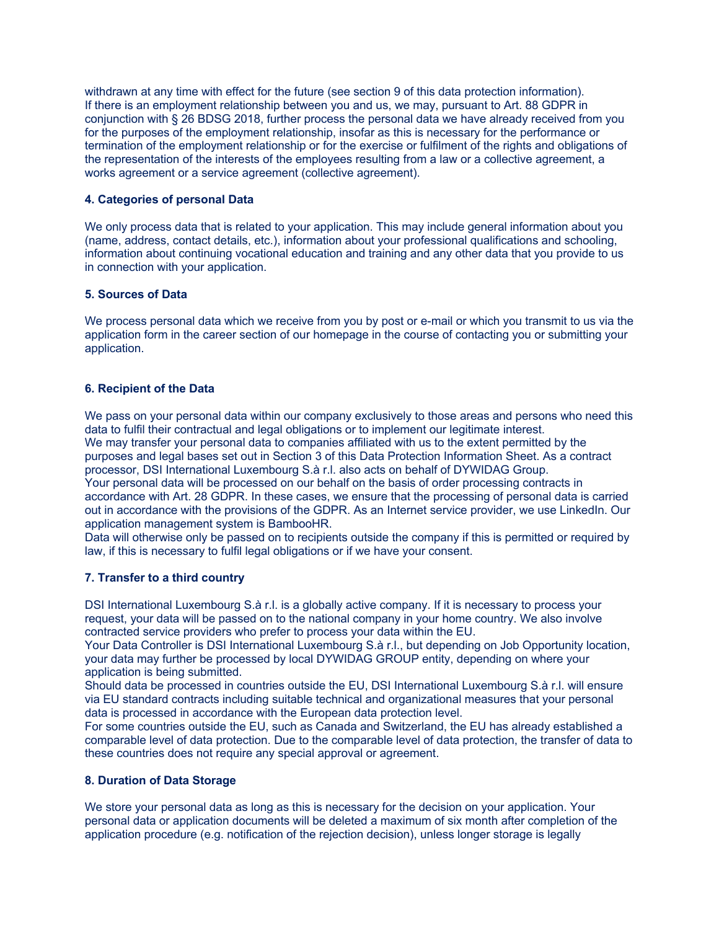withdrawn at any time with effect for the future (see section 9 of this data protection information). If there is an employment relationship between you and us, we may, pursuant to Art. 88 GDPR in conjunction with § 26 BDSG 2018, further process the personal data we have already received from you for the purposes of the employment relationship, insofar as this is necessary for the performance or termination of the employment relationship or for the exercise or fulfilment of the rights and obligations of the representation of the interests of the employees resulting from a law or a collective agreement, a works agreement or a service agreement (collective agreement).

### **4. Categories of personal Data**

We only process data that is related to your application. This may include general information about you (name, address, contact details, etc.), information about your professional qualifications and schooling, information about continuing vocational education and training and any other data that you provide to us in connection with your application.

### **5. Sources of Data**

We process personal data which we receive from you by post or e-mail or which you transmit to us via the application form in the career section of our homepage in the course of contacting you or submitting your application.

### **6. Recipient of the Data**

We pass on your personal data within our company exclusively to those areas and persons who need this data to fulfil their contractual and legal obligations or to implement our legitimate interest. We may transfer your personal data to companies affiliated with us to the extent permitted by the purposes and legal bases set out in Section 3 of this Data Protection Information Sheet. As a contract processor, DSI International Luxembourg S.à r.l. also acts on behalf of DYWIDAG Group. Your personal data will be processed on our behalf on the basis of order processing contracts in accordance with Art. 28 GDPR. In these cases, we ensure that the processing of personal data is carried out in accordance with the provisions of the GDPR. As an Internet service provider, we use LinkedIn. Our application management system is BambooHR.

Data will otherwise only be passed on to recipients outside the company if this is permitted or required by law, if this is necessary to fulfil legal obligations or if we have your consent.

# **7. Transfer to a third country**

DSI International Luxembourg S.à r.l. is a globally active company. If it is necessary to process your request, your data will be passed on to the national company in your home country. We also involve contracted service providers who prefer to process your data within the EU.

Your Data Controller is DSI International Luxembourg S.à r.l., but depending on Job Opportunity location, your data may further be processed by local DYWIDAG GROUP entity, depending on where your application is being submitted.

Should data be processed in countries outside the EU, DSI International Luxembourg S.à r.l. will ensure via EU standard contracts including suitable technical and organizational measures that your personal data is processed in accordance with the European data protection level.

For some countries outside the EU, such as Canada and Switzerland, the EU has already established a comparable level of data protection. Due to the comparable level of data protection, the transfer of data to these countries does not require any special approval or agreement.

### **8. Duration of Data Storage**

We store your personal data as long as this is necessary for the decision on your application. Your personal data or application documents will be deleted a maximum of six month after completion of the application procedure (e.g. notification of the rejection decision), unless longer storage is legally